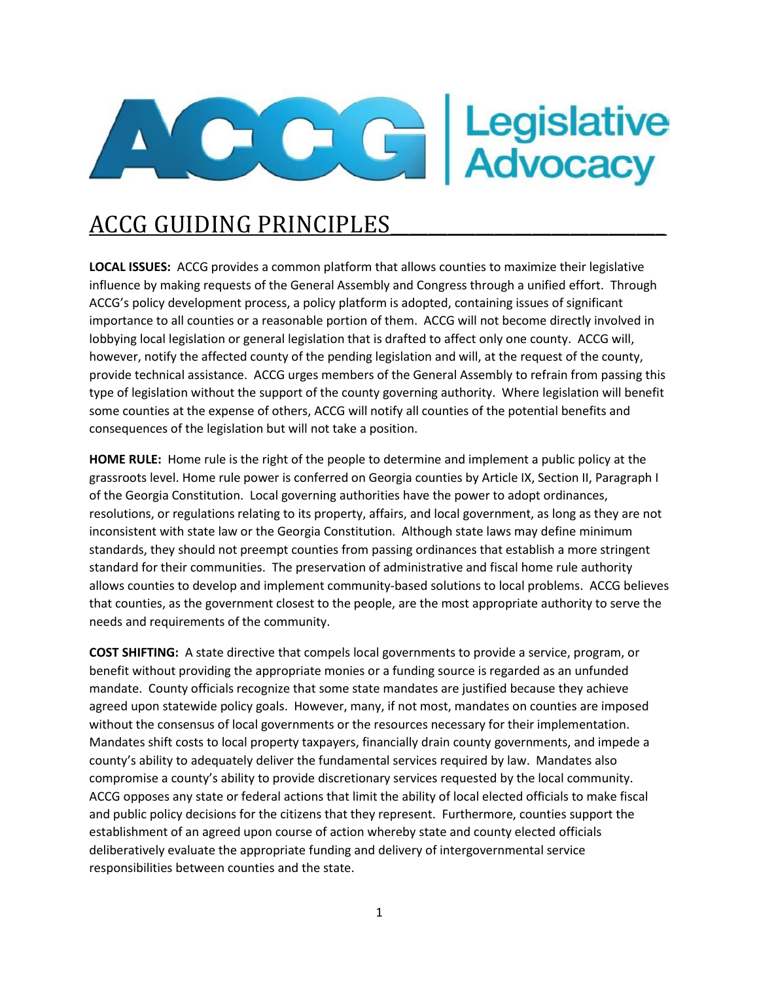

## ACCG GUIDING PRINCIPLES\_\_\_\_\_\_\_\_\_\_\_\_\_\_\_\_\_\_\_\_\_\_\_\_\_\_\_\_\_

**LOCAL ISSUES:** ACCG provides a common platform that allows counties to maximize their legislative influence by making requests of the General Assembly and Congress through a unified effort. Through ACCG's policy development process, a policy platform is adopted, containing issues of significant importance to all counties or a reasonable portion of them. ACCG will not become directly involved in lobbying local legislation or general legislation that is drafted to affect only one county. ACCG will, however, notify the affected county of the pending legislation and will, at the request of the county, provide technical assistance. ACCG urges members of the General Assembly to refrain from passing this type of legislation without the support of the county governing authority. Where legislation will benefit some counties at the expense of others, ACCG will notify all counties of the potential benefits and consequences of the legislation but will not take a position.

**HOME RULE:** Home rule is the right of the people to determine and implement a public policy at the grassroots level. Home rule power is conferred on Georgia counties by Article IX, Section II, Paragraph I of the Georgia Constitution. Local governing authorities have the power to adopt ordinances, resolutions, or regulations relating to its property, affairs, and local government, as long as they are not inconsistent with state law or the Georgia Constitution. Although state laws may define minimum standards, they should not preempt counties from passing ordinances that establish a more stringent standard for their communities. The preservation of administrative and fiscal home rule authority allows counties to develop and implement community-based solutions to local problems. ACCG believes that counties, as the government closest to the people, are the most appropriate authority to serve the needs and requirements of the community.

**COST SHIFTING:** A state directive that compels local governments to provide a service, program, or benefit without providing the appropriate monies or a funding source is regarded as an unfunded mandate. County officials recognize that some state mandates are justified because they achieve agreed upon statewide policy goals. However, many, if not most, mandates on counties are imposed without the consensus of local governments or the resources necessary for their implementation. Mandates shift costs to local property taxpayers, financially drain county governments, and impede a county's ability to adequately deliver the fundamental services required by law. Mandates also compromise a county's ability to provide discretionary services requested by the local community. ACCG opposes any state or federal actions that limit the ability of local elected officials to make fiscal and public policy decisions for the citizens that they represent. Furthermore, counties support the establishment of an agreed upon course of action whereby state and county elected officials deliberatively evaluate the appropriate funding and delivery of intergovernmental service responsibilities between counties and the state.